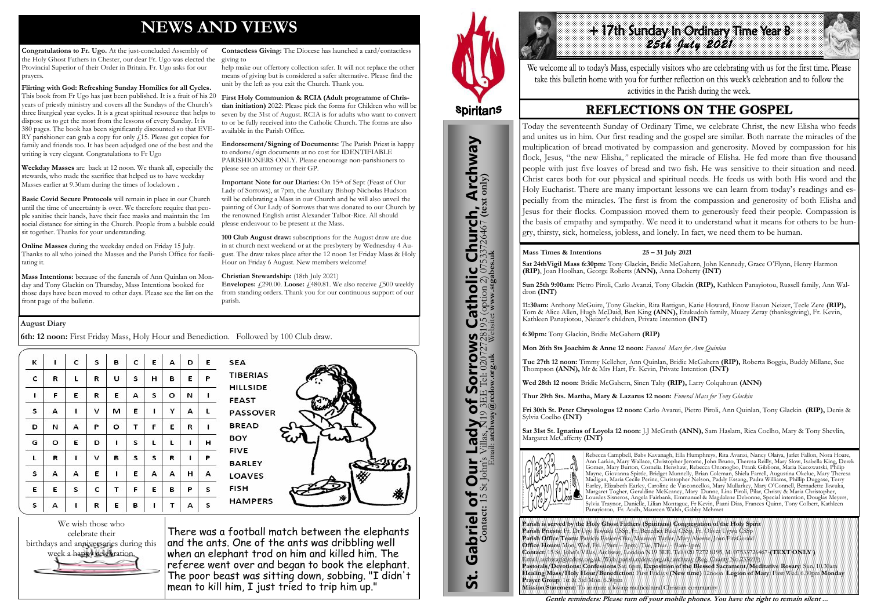# **NEWS AND VIEWS**

**Congratulations to Fr. Ugo.** At the just-concluded Assembly of the Holy Ghost Fathers in Chester, our dear Fr. Ugo was elected the Provincial Superior of their Order in Britain. Fr. Ugo asks for our prayers.

**Flirting with God: Refreshing Sunday Homilies for all Cycles.**  This book from Fr Ugo has just been published. It is a fruit of his 20 years of priestly ministry and covers all the Sundays of the Church's three liturgical year cycles. It is a great spiritual resource that helps to dispose us to get the most from the lessons of every Sunday. It is 380 pages. The book has been significantly discounted so that EVE-RY parishioner can grab a copy for only  $f$ 15. Please get copies for family and friends too. It has been adjudged one of the best and the writing is very elegant. Congratulations to Fr Ugo

**Weekday Masses** are back at 12 noon. We thank all, especially the stewards, who made the sacrifice that helped us to have weekday Masses earlier at 9.30am during the times of lockdown .

**Basic Covid Secure Protocols** will remain in place in our Church until the time of uncertainty is over. We therefore require that people sanitise their hands, have their face masks and maintain the 1m social distance for sitting in the Church. People from a bubble could sit together. Thanks for your understanding.

**Online Masses** during the weekday ended on Friday 15 July. Thanks to all who joined the Masses and the Parish Office for facilitating it.

**Important Note for our Diaries:** On 15<sup>th</sup> of Sept (Feast of Our) Lady of Sorrows), at 7pm, the Auxiliary Bishop Nicholas Hudson will be celebrating a Mass in our Church and he will also unveil the painting of Our Lady of Sorrows that was donated to our Church by the renowned English artist Alexander Talbot-Rice. All should please endeavour to be present at the Mass.

**Mass Intentions:** because of the funerals of Ann Quinlan on Monday and Tony Glackin on Thursday, Mass Intentions booked for those days have been moved to other days. Please see the list on the front page of the bulletin.

**Envelopes:**  $\text{\textsterling}290.00$ . **Loose:**  $\text{\textsterling}480.81$ . We also receive  $\text{\textsterling}500$  weekly from standing orders. Thank you for our continuous support of our parish.

**Contactless Giving:** The Diocese has launched a card/contactless giving to

help make our offertory collection safer. It will not replace the other means of giving but is considered a safer alternative. Please find the unit by the left as you exit the Church. Thank you.

+17th Sunday In Ordinary Time Year B *25th July 2021* 

**First Holy Communion & RCIA (Adult programme of Christian initiation)** 2022: Please pick the forms for Children who will be seven by the 31st of August. RCIA is for adults who want to convert to or be fully received into the Catholic Church. The forms are also available in the Parish Office.

**Endorsement/Signing of Documents:** The Parish Priest is happy to endorse/sign documents at no cost for IDENTIFIABLE PARISHIONERS ONLY. Please encourage non-parishioners to please see an attorney or their GP.

**100 Club August draw:** subscriptions for the August draw are due in at church next weekend or at the presbytery by Wednesday 4 August. The draw takes place after the 12 noon 1st Friday Mass & Holy Hour on Friday 6 August. New members welcome!

#### **Christian Stewardship:** (18th July 2021)

We wish those who celebrate their birthdays and anniversaries during this week a happy celebration.

There was a football match between the elephants and the ants. One of the ants was dribbling well when an elephant trod on him and killed him. The referee went over and began to book the elephant. The poor beast was sitting down, sobbing. "I didn't mean to kill him, I just tried to trip him up."



St. Gabriel of Our Lady of Sorrows Catholic Church, Archway

**Sorrows**<br>E Tel: 020727281

Our Lady of Sorrov

Gabriel of Our

<u>ჭ</u>

**S Catholic Church, Archway**<br>28195 (option 2) 07533726467 (text only)

#### **August Diary**

**6th: 12 noon:** First Friday Mass, Holy Hour and Benediction. Followed by 100 Club draw.

| к | ı | c | S | в | c | E | А | D | E |
|---|---|---|---|---|---|---|---|---|---|
| с | R | L | R | U | s | н | в | E | Ρ |
| ı | F | E | R | E | А | s | о | И | ı |
| s | А | ı | v | м | Ε | ı | Υ | А | г |
| D | И | А | Ρ | о | т | F | E | R | 1 |
| G | о | E | D | ı | s | L | г | ı | н |
| L | R | ī | v | в | s | S | R | ı | Ρ |
| s | А | А | E | ı | E | А | А | н | А |
| E | E | s | с | т | F | E | в | Ρ | s |
| s | А | ı | R | E | В | ı | т | А | s |

**TIBERIAS HILLSIDE** FEAST **PASSOVER BREAD** BOY **FIVE BARLEY** LOAVES **FISH HAMPERS** 



**Parish is served by the Holy Ghost Fathers (Spiritans) Congregation of the Holy Spirit Parish Priests:** Fr. Dr Ugo Ikwuka CSSp, Fr. Benedict Baka CSSp, Fr. Oliver Ugwu CSSp **Parish Office Team:** Patricia Essien-Oku, Maureen Tayler, Mary Aherne, Joan FitzGerald **Office Hours:** Mon, Wed, Fri. -(9am – 3pm). Tue, Thur. - (9am-1pm) **Contact:** 15 St. John's Villas, Archway, London N19 3EE. Tel: 020 7272 8195, M: 07533726467-**(TEXT ONLY )** Email: archway@rcdow.org.uk Web: parish.rcdow.org.uk/archway (Reg. Charity No.233699) **Pastorals/Devotions: Confessions** Sat. 6pm, **Exposition of the Blessed Sacrament/Meditative Rosary**: Sun. 10.30am **Healing Mass/Holy Hour/Benediction:** First Fridays **(New time)** 12noon **Legion of Mary**: First Wed. 6.30pm **Monday Prayer Group**: 1st & 3rd Mon. 6.30pm **Mission Statement:** To animate a loving multicultural Christian community

**Contact:** 15 St John's Villas, N19 3EE Tel: 02072728195 (option 2) 07533726467 **(text only)** Email: **archway@rcdow.org.uk** Website**: www.stgabes.uk**

We welcome all to today's Mass, especially visitors who are celebrating with us for the first time. Please take this bulletin home with you for further reflection on this week's celebration and to follow the activities in the Parish during the week.

## **REFLECTIONS ON THE GOSPEL**

#### **Mass Times & Intentions 25 – 31 July 2021**

**Sat 24thVigil Mass 6:30pm:** Tony Glackin**,** Bridie McGahern, John Kennedy, Grace O'Flynn, Henry Harmon **(RIP)**, Joan Hoolhan, George Roberts (**ANN),** Anna Doherty **(INT)**

**Sun 25th 9:00am:** Pietro Piroli, Carlo Avanzi, Tony Glackin **(RIP),** Kathleen Panayiotou, Russell family, Ann Waldron **(INT)**

**11:30am:** Anthony McGuire, Tony Glackin, Rita Rattigan, Katie Howard, Enow Esoun Neizer, Tecle Zere **(RIP),**  Tom & Alice Allen, Hugh McDaid, Ben King **(ANN),** Etukudoh family, Muzey Zeray (thanksgiving), Fr. Kevin, Kathleen Panayiotou, Nieizer's children, Private Intention **(INT)**

**6:30pm:** Tony Glackin, Bridie McGahern **(RIP)**

**Mon 26th Sts Joachim & Anne 12 noon:** *Funeral Mass for Ann Quinlan*

**Tue 27th 12 noon:** Timmy Kelleher, Ann Quinlan, Bridie McGahern **(RIP),** Roberta Boggia, Buddy Millane, Sue Thompson **(ANN),** Mr & Mrs Hart, Fr. Kevin, Private Intention **(INT)**

**Wed 28th 12 noon:** Bridie McGahern, Sinen Talty **(RIP),** Larry Colquhoun **(ANN)** 

**Thur 29th Sts. Martha, Mary & Lazarus 12 noon:** *Funeral Mass for Tony Glackin*

**Fri 30th St. Peter Chrysologus 12 noon:** Carlo Avanzi, Pietro Piroli, Ann Quinlan, Tony Glackin **(RIP),** Denis & Sylvia Coelho **(INT)** 

**Sat 31st St. Ignatius of Loyola 12 noon:** J.J McGrath **(ANN),** Sam Haslam, Rica Coelho, Mary & Tony Shevlin, Margaret McCafferty **(INT)**



Rebecca Campbell, Babs Kavanagh, Ella Humphreys, Rita Avanzi, Nancy Olaiya, Jarlet Fallon, Nora Hoare, Ann Larkin, Mary Wallace, Christopher Jerome, John Bruno, Theresa Reilly, Mary Slow, Isabella King, Derek Gomes, Mary Burton, Cornelia Henshaw, Rebecca Ononogbo, Frank Gibbons, Maria Kuozwatski, Philip Mayne, Giovanna Spittle, Bridget Munnelly, Brian Coleman, Shiela Farrell, Augustina Okelue, Mary Theresa Madigan, Maria Cecile Perine, Christopher Nelson, Paddy Essang, Padra Williams, Phillip Duggase, Terry Earley, Elizabeth Earley, Caroline de Vasconcellos, Mary Mullarkey, Mary O'Connell, Bernadette Ikwuka, Margaret Togher, Geraldine McKeaney, Mary Dunne, Lina Piroli, Pilar, Christy & Maria Christopher, Lourdes Sisneros, Angela Fairbank, Emmanuel & Magdalene Debonne, Special intention, Douglas Meyers, Sylvia Traynor, Danielle, Lilian Montague, Fr Kevin, Paani Dias, Frances Quinn, Tony Colbert, Kathleen Panayiotou, Fr. Aodh, Maureen Walsh, Gabby Mehmet

**Gentle reminders: Please turn off your mobile phones. You have the right to remain silent ...** 

Today the seventeenth Sunday of Ordinary Time, we celebrate Christ, the new Elisha who feeds and unites us in him. Our first reading and the gospel are similar. Both narrate the miracles of the multiplication of bread motivated by compassion and generosity. Moved by compassion for his flock, Jesus, "the new Elisha*,"* replicated the miracle of Elisha. He fed more than five thousand people with just five loaves of bread and two fish. He was sensitive to their situation and need. Christ cares both for our physical and spiritual needs. He feeds us with both His word and the Holy Eucharist. There are many important lessons we can learn from today's readings and especially from the miracles. The first is from the compassion and generosity of both Elisha and Jesus for their flocks. Compassion moved them to generously feed their people. Compassion is the basis of empathy and sympathy. We need it to understand what it means for others to be hungry, thirsty, sick, homeless, jobless, and lonely. In fact, we need them to be human.